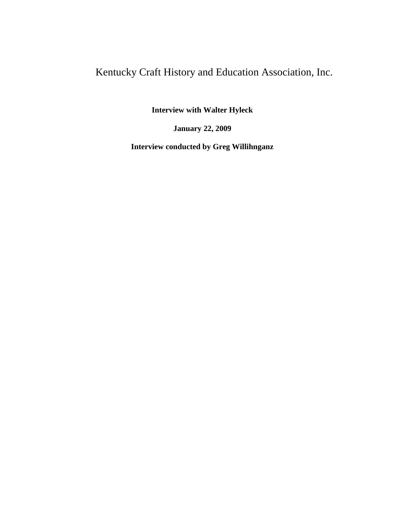# Kentucky Craft History and Education Association, Inc.

**Interview with Walter Hyleck**

**January 22, 2009**

**Interview conducted by Greg Willihnganz**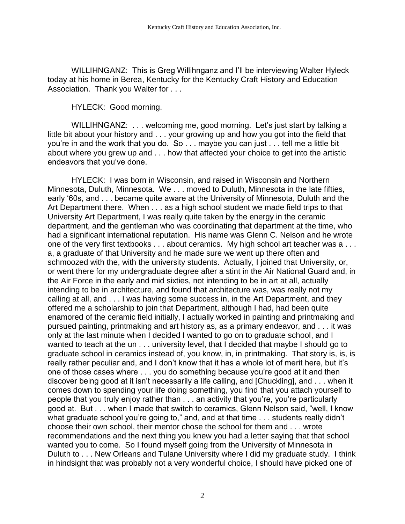WILLIHNGANZ: This is Greg Willihnganz and I'll be interviewing Walter Hyleck today at his home in Berea, Kentucky for the Kentucky Craft History and Education Association. Thank you Walter for . . .

HYLECK: Good morning.

WILLIHNGANZ: . . . welcoming me, good morning. Let's just start by talking a little bit about your history and . . . your growing up and how you got into the field that you're in and the work that you do. So . . . maybe you can just . . . tell me a little bit about where you grew up and . . . how that affected your choice to get into the artistic endeavors that you've done.

HYLECK: I was born in Wisconsin, and raised in Wisconsin and Northern Minnesota, Duluth, Minnesota. We . . . moved to Duluth, Minnesota in the late fifties, early '60s, and . . . became quite aware at the University of Minnesota, Duluth and the Art Department there. When . . . as a high school student we made field trips to that University Art Department, I was really quite taken by the energy in the ceramic department, and the gentleman who was coordinating that department at the time, who had a significant international reputation. His name was Glenn C. Nelson and he wrote one of the very first textbooks . . . about ceramics. My high school art teacher was a . . . a, a graduate of that University and he made sure we went up there often and schmoozed with the, with the university students. Actually, I joined that University, or, or went there for my undergraduate degree after a stint in the Air National Guard and, in the Air Force in the early and mid sixties, not intending to be in art at all, actually intending to be in architecture, and found that architecture was, was really not my calling at all, and . . . I was having some success in, in the Art Department, and they offered me a scholarship to join that Department, although I had, had been quite enamored of the ceramic field initially, I actually worked in painting and printmaking and pursued painting, printmaking and art history as, as a primary endeavor, and . . . it was only at the last minute when I decided I wanted to go on to graduate school, and I wanted to teach at the un . . . university level, that I decided that maybe I should go to graduate school in ceramics instead of, you know, in, in printmaking. That story is, is, is really rather peculiar and, and I don't know that it has a whole lot of merit here, but it's one of those cases where . . . you do something because you're good at it and then discover being good at it isn't necessarily a life calling, and [Chuckling], and . . . when it comes down to spending your life doing something, you find that you attach yourself to people that you truly enjoy rather than . . . an activity that you're, you're particularly good at. But . . . when I made that switch to ceramics, Glenn Nelson said, "well, I know what graduate school you're going to," and, and at that time . . . students really didn't choose their own school, their mentor chose the school for them and . . . wrote recommendations and the next thing you knew you had a letter saying that that school wanted you to come. So I found myself going from the University of Minnesota in Duluth to . . . New Orleans and Tulane University where I did my graduate study. I think in hindsight that was probably not a very wonderful choice, I should have picked one of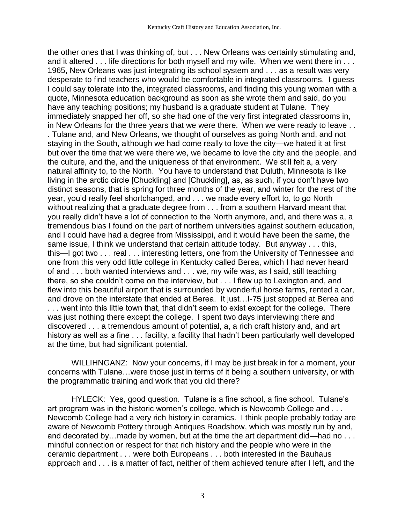the other ones that I was thinking of, but . . . New Orleans was certainly stimulating and, and it altered . . . life directions for both myself and my wife. When we went there in . . . 1965, New Orleans was just integrating its school system and . . . as a result was very desperate to find teachers who would be comfortable in integrated classrooms. I guess I could say tolerate into the, integrated classrooms, and finding this young woman with a quote, Minnesota education background as soon as she wrote them and said, do you have any teaching positions; my husband is a graduate student at Tulane. They immediately snapped her off, so she had one of the very first integrated classrooms in, in New Orleans for the three years that we were there. When we were ready to leave . . . Tulane and, and New Orleans, we thought of ourselves as going North and, and not staying in the South, although we had come really to love the city—we hated it at first but over the time that we were there we, we became to love the city and the people, and the culture, and the, and the uniqueness of that environment. We still felt a, a very natural affinity to, to the North. You have to understand that Duluth, Minnesota is like living in the arctic circle [Chuckling] and [Chuckling], as, as such, if you don't have two distinct seasons, that is spring for three months of the year, and winter for the rest of the year, you'd really feel shortchanged, and . . . we made every effort to, to go North without realizing that a graduate degree from . . . from a southern Harvard meant that you really didn't have a lot of connection to the North anymore, and, and there was a, a tremendous bias I found on the part of northern universities against southern education, and I could have had a degree from Mississippi, and it would have been the same, the same issue, I think we understand that certain attitude today. But anyway . . . this, this—I got two . . . real . . . interesting letters, one from the University of Tennessee and one from this very odd little college in Kentucky called Berea, which I had never heard of and . . . both wanted interviews and . . . we, my wife was, as I said, still teaching there, so she couldn't come on the interview, but . . . I flew up to Lexington and, and flew into this beautiful airport that is surrounded by wonderful horse farms, rented a car, and drove on the interstate that ended at Berea. It just…I-75 just stopped at Berea and . . . went into this little town that, that didn't seem to exist except for the college. There was just nothing there except the college. I spent two days interviewing there and discovered . . . a tremendous amount of potential, a, a rich craft history and, and art history as well as a fine . . . facility, a facility that hadn't been particularly well developed at the time, but had significant potential.

WILLIHNGANZ: Now your concerns, if I may be just break in for a moment, your concerns with Tulane…were those just in terms of it being a southern university, or with the programmatic training and work that you did there?

HYLECK: Yes, good question. Tulane is a fine school, a fine school. Tulane's art program was in the historic women's college, which is Newcomb College and . . . Newcomb College had a very rich history in ceramics. I think people probably today are aware of Newcomb Pottery through Antiques Roadshow, which was mostly run by and, and decorated by…made by women, but at the time the art department did—had no . . . mindful connection or respect for that rich history and the people who were in the ceramic department . . . were both Europeans . . . both interested in the Bauhaus approach and . . . is a matter of fact, neither of them achieved tenure after I left, and the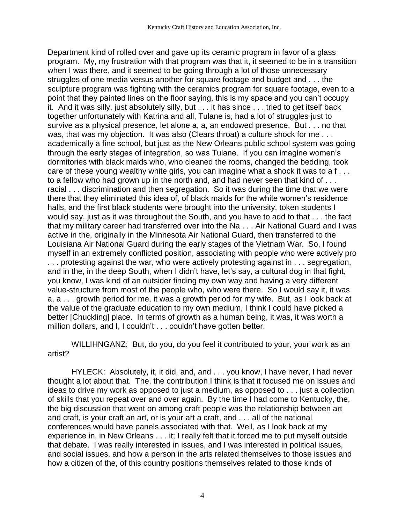Department kind of rolled over and gave up its ceramic program in favor of a glass program. My, my frustration with that program was that it, it seemed to be in a transition when I was there, and it seemed to be going through a lot of those unnecessary struggles of one media versus another for square footage and budget and . . . the sculpture program was fighting with the ceramics program for square footage, even to a point that they painted lines on the floor saying, this is my space and you can't occupy it. And it was silly, just absolutely silly, but . . . it has since . . . tried to get itself back together unfortunately with Katrina and all, Tulane is, had a lot of struggles just to survive as a physical presence, let alone a, a, an endowed presence. But . . . no that was, that was my objection. It was also (Clears throat) a culture shock for me . . . academically a fine school, but just as the New Orleans public school system was going through the early stages of integration, so was Tulane. If you can imagine women's dormitories with black maids who, who cleaned the rooms, changed the bedding, took care of these young wealthy white girls, you can imagine what a shock it was to a f... to a fellow who had grown up in the north and, and had never seen that kind of . . . racial . . . discrimination and then segregation. So it was during the time that we were there that they eliminated this idea of, of black maids for the white women's residence halls, and the first black students were brought into the university, token students I would say, just as it was throughout the South, and you have to add to that . . . the fact that my military career had transferred over into the Na . . . Air National Guard and I was active in the, originally in the Minnesota Air National Guard, then transferred to the Louisiana Air National Guard during the early stages of the Vietnam War. So, I found myself in an extremely conflicted position, associating with people who were actively pro . . . protesting against the war, who were actively protesting against in . . . segregation, and in the, in the deep South, when I didn't have, let's say, a cultural dog in that fight, you know, I was kind of an outsider finding my own way and having a very different value-structure from most of the people who, who were there. So I would say it, it was a, a . . . growth period for me, it was a growth period for my wife. But, as I look back at the value of the graduate education to my own medium, I think I could have picked a better [Chuckling] place. In terms of growth as a human being, it was, it was worth a million dollars, and I, I couldn't . . . couldn't have gotten better.

WILLIHNGANZ: But, do you, do you feel it contributed to your, your work as an artist?

HYLECK: Absolutely, it, it did, and, and . . . you know, I have never, I had never thought a lot about that. The, the contribution I think is that it focused me on issues and ideas to drive my work as opposed to just a medium, as opposed to . . . just a collection of skills that you repeat over and over again. By the time I had come to Kentucky, the, the big discussion that went on among craft people was the relationship between art and craft, is your craft an art, or is your art a craft, and . . . all of the national conferences would have panels associated with that. Well, as I look back at my experience in, in New Orleans . . . it; I really felt that it forced me to put myself outside that debate. I was really interested in issues, and I was interested in political issues, and social issues, and how a person in the arts related themselves to those issues and how a citizen of the, of this country positions themselves related to those kinds of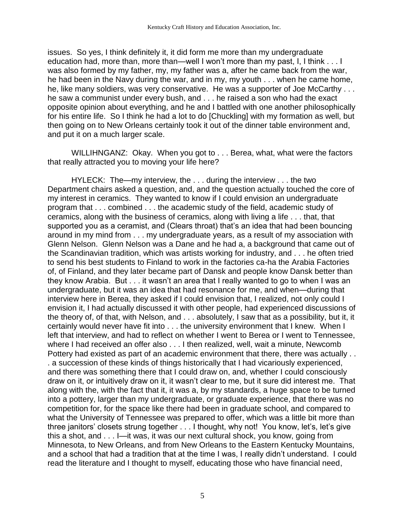issues. So yes, I think definitely it, it did form me more than my undergraduate education had, more than, more than—well I won't more than my past, I, I think . . . I was also formed by my father, my, my father was a, after he came back from the war, he had been in the Navy during the war, and in my, my youth . . . when he came home, he, like many soldiers, was very conservative. He was a supporter of Joe McCarthy . . . he saw a communist under every bush, and . . . he raised a son who had the exact opposite opinion about everything, and he and I battled with one another philosophically for his entire life. So I think he had a lot to do [Chuckling] with my formation as well, but then going on to New Orleans certainly took it out of the dinner table environment and, and put it on a much larger scale.

WILLIHNGANZ: Okay. When you got to . . . Berea, what, what were the factors that really attracted you to moving your life here?

HYLECK: The—my interview, the . . . during the interview . . . the two Department chairs asked a question, and, and the question actually touched the core of my interest in ceramics. They wanted to know if I could envision an undergraduate program that . . . combined . . . the academic study of the field, academic study of ceramics, along with the business of ceramics, along with living a life . . . that, that supported you as a ceramist, and (Clears throat) that's an idea that had been bouncing around in my mind from . . . my undergraduate years, as a result of my association with Glenn Nelson. Glenn Nelson was a Dane and he had a, a background that came out of the Scandinavian tradition, which was artists working for industry, and . . . he often tried to send his best students to Finland to work in the factories ca-ha the Arabia Factories of, of Finland, and they later became part of Dansk and people know Dansk better than they know Arabia. But . . . it wasn't an area that I really wanted to go to when I was an undergraduate, but it was an idea that had resonance for me, and when—during that interview here in Berea, they asked if I could envision that, I realized, not only could I envision it, I had actually discussed it with other people, had experienced discussions of the theory of, of that, with Nelson, and . . . absolutely, I saw that as a possibility, but it, it certainly would never have fit into . . . the university environment that I knew. When I left that interview, and had to reflect on whether I went to Berea or I went to Tennessee, where I had received an offer also . . . I then realized, well, wait a minute, Newcomb Pottery had existed as part of an academic environment that there, there was actually . . . a succession of these kinds of things historically that I had vicariously experienced, and there was something there that I could draw on, and, whether I could consciously draw on it, or intuitively draw on it, it wasn't clear to me, but it sure did interest me. That along with the, with the fact that it, it was a, by my standards, a huge space to be turned into a pottery, larger than my undergraduate, or graduate experience, that there was no competition for, for the space like there had been in graduate school, and compared to what the University of Tennessee was prepared to offer, which was a little bit more than three janitors' closets strung together . . . I thought, why not! You know, let's, let's give this a shot, and . . . I—it was, it was our next cultural shock, you know, going from Minnesota, to New Orleans, and from New Orleans to the Eastern Kentucky Mountains, and a school that had a tradition that at the time I was, I really didn't understand. I could read the literature and I thought to myself, educating those who have financial need,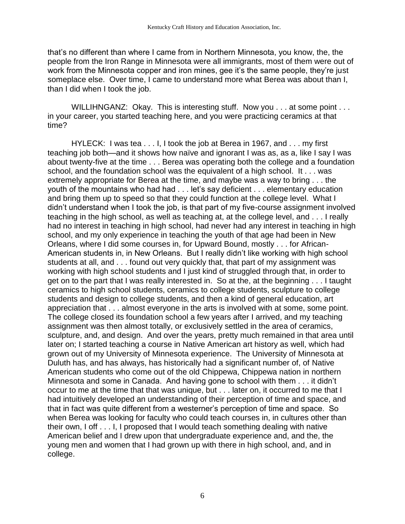that's no different than where I came from in Northern Minnesota, you know, the, the people from the Iron Range in Minnesota were all immigrants, most of them were out of work from the Minnesota copper and iron mines, gee it's the same people, they're just someplace else. Over time, I came to understand more what Berea was about than I, than I did when I took the job.

WILLIHNGANZ: Okay. This is interesting stuff. Now you . . . at some point . . . in your career, you started teaching here, and you were practicing ceramics at that time?

HYLECK: I was tea . . . I, I took the job at Berea in 1967, and . . . my first teaching job both—and it shows how naïve and ignorant I was as, as a, like I say I was about twenty-five at the time . . . Berea was operating both the college and a foundation school, and the foundation school was the equivalent of a high school. It . . . was extremely appropriate for Berea at the time, and maybe was a way to bring . . . the youth of the mountains who had had . . . let's say deficient . . . elementary education and bring them up to speed so that they could function at the college level. What I didn't understand when I took the job, is that part of my five-course assignment involved teaching in the high school, as well as teaching at, at the college level, and . . . I really had no interest in teaching in high school, had never had any interest in teaching in high school, and my only experience in teaching the youth of that age had been in New Orleans, where I did some courses in, for Upward Bound, mostly . . . for African-American students in, in New Orleans. But I really didn't like working with high school students at all, and . . . found out very quickly that, that part of my assignment was working with high school students and I just kind of struggled through that, in order to get on to the part that I was really interested in. So at the, at the beginning . . . I taught ceramics to high school students, ceramics to college students, sculpture to college students and design to college students, and then a kind of general education, art appreciation that . . . almost everyone in the arts is involved with at some, some point. The college closed its foundation school a few years after I arrived, and my teaching assignment was then almost totally, or exclusively settled in the area of ceramics, sculpture, and, and design. And over the years, pretty much remained in that area until later on; I started teaching a course in Native American art history as well, which had grown out of my University of Minnesota experience. The University of Minnesota at Duluth has, and has always, has historically had a significant number of, of Native American students who come out of the old Chippewa, Chippewa nation in northern Minnesota and some in Canada. And having gone to school with them . . . it didn't occur to me at the time that that was unique, but . . . later on, it occurred to me that I had intuitively developed an understanding of their perception of time and space, and that in fact was quite different from a westerner's perception of time and space. So when Berea was looking for faculty who could teach courses in, in cultures other than their own, I off . . . I, I proposed that I would teach something dealing with native American belief and I drew upon that undergraduate experience and, and the, the young men and women that I had grown up with there in high school, and, and in college.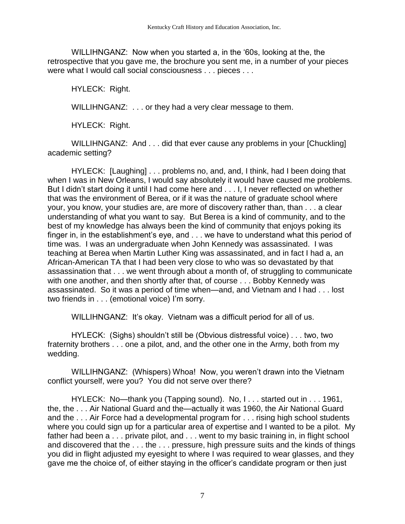WILLIHNGANZ: Now when you started a, in the '60s, looking at the, the retrospective that you gave me, the brochure you sent me, in a number of your pieces were what I would call social consciousness . . . pieces . . .

HYLECK: Right.

WILLIHNGANZ: . . . or they had a very clear message to them.

HYLECK: Right.

WILLIHNGANZ: And . . . did that ever cause any problems in your [Chuckling] academic setting?

HYLECK: [Laughing] . . . problems no, and, and, I think, had I been doing that when I was in New Orleans, I would say absolutely it would have caused me problems. But I didn't start doing it until I had come here and . . . I, I never reflected on whether that was the environment of Berea, or if it was the nature of graduate school where your, you know, your studies are, are more of discovery rather than, than . . . a clear understanding of what you want to say. But Berea is a kind of community, and to the best of my knowledge has always been the kind of community that enjoys poking its finger in, in the establishment's eye, and . . . we have to understand what this period of time was. I was an undergraduate when John Kennedy was assassinated. I was teaching at Berea when Martin Luther King was assassinated, and in fact I had a, an African-American TA that I had been very close to who was so devastated by that assassination that . . . we went through about a month of, of struggling to communicate with one another, and then shortly after that, of course . . . Bobby Kennedy was assassinated. So it was a period of time when—and, and Vietnam and I had . . . lost two friends in . . . (emotional voice) I'm sorry.

WILLIHNGANZ: It's okay. Vietnam was a difficult period for all of us.

HYLECK: (Sighs) shouldn't still be (Obvious distressful voice) . . . two, two fraternity brothers . . . one a pilot, and, and the other one in the Army, both from my wedding.

WILLIHNGANZ: (Whispers) Whoa! Now, you weren't drawn into the Vietnam conflict yourself, were you? You did not serve over there?

HYLECK: No—thank you (Tapping sound). No, I . . . started out in . . . 1961, the, the . . . Air National Guard and the—actually it was 1960, the Air National Guard and the . . . Air Force had a developmental program for . . . rising high school students where you could sign up for a particular area of expertise and I wanted to be a pilot. My father had been a . . . private pilot, and . . . went to my basic training in, in flight school and discovered that the . . . the . . . pressure, high pressure suits and the kinds of things you did in flight adjusted my eyesight to where I was required to wear glasses, and they gave me the choice of, of either staying in the officer's candidate program or then just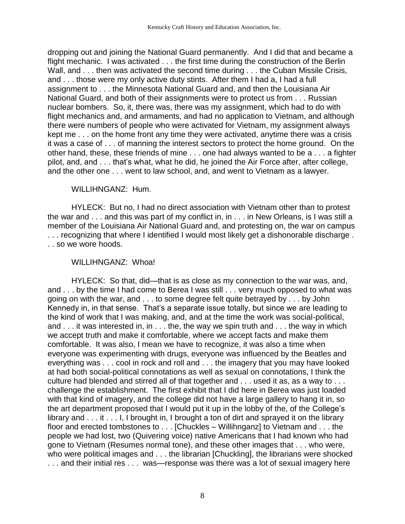dropping out and joining the National Guard permanently. And I did that and became a flight mechanic. I was activated . . . the first time during the construction of the Berlin Wall, and . . . then was activated the second time during . . . the Cuban Missile Crisis, and . . . those were my only active duty stints. After them I had a, I had a full assignment to . . . the Minnesota National Guard and, and then the Louisiana Air National Guard, and both of their assignments were to protect us from . . . Russian nuclear bombers. So, it, there was, there was my assignment, which had to do with flight mechanics and, and armaments, and had no application to Vietnam, and although there were numbers of people who were activated for Vietnam, my assignment always kept me . . . on the home front any time they were activated, anytime there was a crisis it was a case of . . . of manning the interest sectors to protect the home ground. On the other hand, these, these friends of mine . . . one had always wanted to be a . . . a fighter pilot, and, and . . . that's what, what he did, he joined the Air Force after, after college, and the other one . . . went to law school, and, and went to Vietnam as a lawyer.

## WILLIHNGANZ: Hum.

HYLECK: But no, I had no direct association with Vietnam other than to protest the war and . . . and this was part of my conflict in, in . . . in New Orleans, is I was still a member of the Louisiana Air National Guard and, and protesting on, the war on campus . . . recognizing that where I identified I would most likely get a dishonorable discharge . . . so we wore hoods.

## WILLIHNGANZ: Whoa!

HYLECK: So that, did—that is as close as my connection to the war was, and, and . . . by the time I had come to Berea I was still . . . very much opposed to what was going on with the war, and . . . to some degree felt quite betrayed by . . . by John Kennedy in, in that sense. That's a separate issue totally, but since we are leading to the kind of work that I was making, and, and at the time the work was social-political, and . . . it was interested in, in . . . the, the way we spin truth and . . . the way in which we accept truth and make it comfortable, where we accept facts and make them comfortable. It was also, I mean we have to recognize, it was also a time when everyone was experimenting with drugs, everyone was influenced by the Beatles and everything was . . . cool in rock and roll and . . . the imagery that you may have looked at had both social-political connotations as well as sexual on connotations, I think the culture had blended and stirred all of that together and . . . used it as, as a way to . . . challenge the establishment. The first exhibit that I did here in Berea was just loaded with that kind of imagery, and the college did not have a large gallery to hang it in, so the art department proposed that I would put it up in the lobby of the, of the College's library and . . . it . . . I, I brought in, I brought a ton of dirt and sprayed it on the library floor and erected tombstones to . . . [Chuckles – Willihnganz] to Vietnam and . . . the people we had lost, two (Quivering voice) native Americans that I had known who had gone to Vietnam (Resumes normal tone), and these other images that . . . who were, who were political images and . . . the librarian [Chuckling], the librarians were shocked ... and their initial res ... was—response was there was a lot of sexual imagery here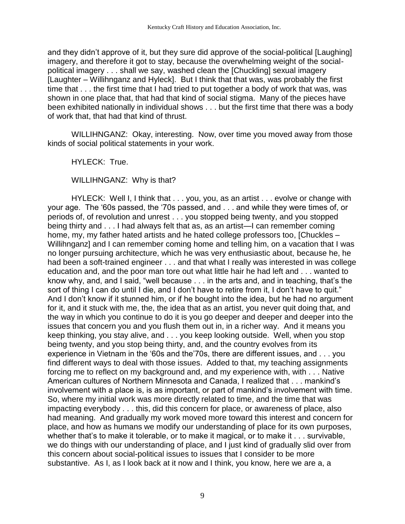and they didn't approve of it, but they sure did approve of the social-political [Laughing] imagery, and therefore it got to stay, because the overwhelming weight of the socialpolitical imagery . . . shall we say, washed clean the [Chuckling] sexual imagery [Laughter – Willihnganz and Hyleck]. But I think that that was, was probably the first time that . . . the first time that I had tried to put together a body of work that was, was shown in one place that, that had that kind of social stigma. Many of the pieces have been exhibited nationally in individual shows . . . but the first time that there was a body of work that, that had that kind of thrust.

WILLIHNGANZ: Okay, interesting. Now, over time you moved away from those kinds of social political statements in your work.

HYLECK: True.

WILLIHNGANZ: Why is that?

HYLECK: Well I, I think that . . . you, you, as an artist . . . evolve or change with your age. The '60s passed, the '70s passed, and . . . and while they were times of, or periods of, of revolution and unrest . . . you stopped being twenty, and you stopped being thirty and . . . I had always felt that as, as an artist—I can remember coming home, my, my father hated artists and he hated college professors too, [Chuckles – Willihnganz] and I can remember coming home and telling him, on a vacation that I was no longer pursuing architecture, which he was very enthusiastic about, because he, he had been a soft-trained engineer . . . and that what I really was interested in was college education and, and the poor man tore out what little hair he had left and . . . wanted to know why, and, and I said, "well because . . . in the arts and, and in teaching, that's the sort of thing I can do until I die, and I don't have to retire from it, I don't have to quit." And I don't know if it stunned him, or if he bought into the idea, but he had no argument for it, and it stuck with me, the, the idea that as an artist, you never quit doing that, and the way in which you continue to do it is you go deeper and deeper and deeper into the issues that concern you and you flush them out in, in a richer way. And it means you keep thinking, you stay alive, and . . . you keep looking outside. Well, when you stop being twenty, and you stop being thirty, and, and the country evolves from its experience in Vietnam in the '60s and the'70s, there are different issues, and . . . you find different ways to deal with those issues. Added to that, my teaching assignments forcing me to reflect on my background and, and my experience with, with . . . Native American cultures of Northern Minnesota and Canada, I realized that . . . mankind's involvement with a place is, is as important, or part of mankind's involvement with time. So, where my initial work was more directly related to time, and the time that was impacting everybody . . . this, did this concern for place, or awareness of place, also had meaning. And gradually my work moved more toward this interest and concern for place, and how as humans we modify our understanding of place for its own purposes, whether that's to make it tolerable, or to make it magical, or to make it . . . survivable, we do things with our understanding of place, and I just kind of gradually slid over from this concern about social-political issues to issues that I consider to be more substantive. As I, as I look back at it now and I think, you know, here we are a, a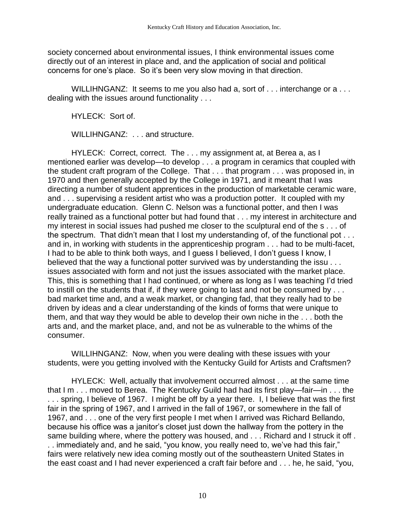society concerned about environmental issues, I think environmental issues come directly out of an interest in place and, and the application of social and political concerns for one's place. So it's been very slow moving in that direction.

WILLIHNGANZ: It seems to me you also had a, sort of ... interchange or a ... dealing with the issues around functionality . . .

HYLECK: Sort of.

WILLIHNGANZ: . . . and structure.

HYLECK: Correct, correct. The . . . my assignment at, at Berea a, as I mentioned earlier was develop—to develop . . . a program in ceramics that coupled with the student craft program of the College. That . . . that program . . . was proposed in, in 1970 and then generally accepted by the College in 1971, and it meant that I was directing a number of student apprentices in the production of marketable ceramic ware, and . . . supervising a resident artist who was a production potter. It coupled with my undergraduate education. Glenn C. Nelson was a functional potter, and then I was really trained as a functional potter but had found that . . . my interest in architecture and my interest in social issues had pushed me closer to the sculptural end of the s . . . of the spectrum. That didn't mean that I lost my understanding of, of the functional pot . . . and in, in working with students in the apprenticeship program . . . had to be multi-facet, I had to be able to think both ways, and I guess I believed, I don't guess I know, I believed that the way a functional potter survived was by understanding the issu . . . issues associated with form and not just the issues associated with the market place. This, this is something that I had continued, or where as long as I was teaching I'd tried to instill on the students that if, if they were going to last and not be consumed by . . . bad market time and, and a weak market, or changing fad, that they really had to be driven by ideas and a clear understanding of the kinds of forms that were unique to them, and that way they would be able to develop their own niche in the . . . both the arts and, and the market place, and, and not be as vulnerable to the whims of the consumer.

WILLIHNGANZ: Now, when you were dealing with these issues with your students, were you getting involved with the Kentucky Guild for Artists and Craftsmen?

HYLECK: Well, actually that involvement occurred almost . . . at the same time that I m . . . moved to Berea. The Kentucky Guild had had its first play—fair—in . . . the . . . spring, I believe of 1967. I might be off by a year there. I, I believe that was the first fair in the spring of 1967, and I arrived in the fall of 1967, or somewhere in the fall of 1967, and . . . one of the very first people I met when I arrived was Richard Bellando, because his office was a janitor's closet just down the hallway from the pottery in the same building where, where the pottery was housed, and . . . Richard and I struck it off . . . immediately and, and he said, "you know, you really need to, we've had this fair," fairs were relatively new idea coming mostly out of the southeastern United States in the east coast and I had never experienced a craft fair before and . . . he, he said, "you,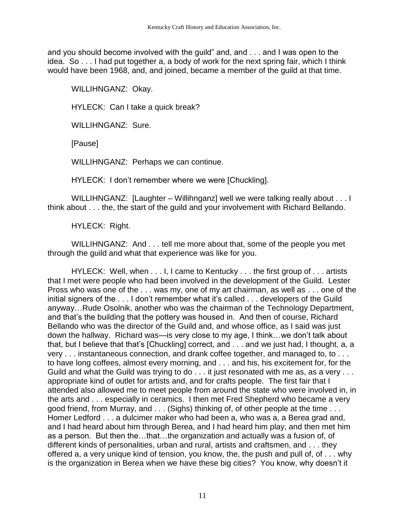and you should become involved with the guild" and, and . . . and I was open to the idea. So . . . I had put together a, a body of work for the next spring fair, which I think would have been 1968, and, and joined, became a member of the guild at that time.

WILLIHNGANZ: Okay.

HYLECK: Can I take a quick break?

WILLIHNGANZ: Sure.

[Pause]

WILLIHNGANZ: Perhaps we can continue.

HYLECK: I don't remember where we were [Chuckling].

WILLIHNGANZ: [Laughter – Willihnganz] well we were talking really about . . . I think about . . . the, the start of the guild and your involvement with Richard Bellando.

HYLECK: Right.

WILLIHNGANZ: And . . . tell me more about that, some of the people you met through the guild and what that experience was like for you.

HYLECK: Well, when . . . I, I came to Kentucky . . . the first group of . . . artists that I met were people who had been involved in the development of the Guild. Lester Pross who was one of the . . . was my, one of my art chairman, as well as . . . one of the initial signers of the . . . I don't remember what it's called . . . developers of the Guild anyway…Rude Osolnik, another who was the chairman of the Technology Department, and that's the building that the pottery was housed in. And then of course, Richard Bellando who was the director of the Guild and, and whose office, as I said was just down the hallway. Richard was—is very close to my age, I think…we don't talk about that, but I believe that that's [Chuckling] correct, and . . . and we just had, I thought, a, a very . . . instantaneous connection, and drank coffee together, and managed to, to . . . to have long coffees, almost every morning, and . . . and his, his excitement for, for the Guild and what the Guild was trying to do . . . it just resonated with me as, as a very . . . appropriate kind of outlet for artists and, and for crafts people. The first fair that I attended also allowed me to meet people from around the state who were involved in, in the arts and . . . especially in ceramics. I then met Fred Shepherd who became a very good friend, from Murray, and . . . (Sighs) thinking of, of other people at the time . . . Homer Ledford . . . a dulcimer maker who had been a, who was a, a Berea grad and, and I had heard about him through Berea, and I had heard him play, and then met him as a person. But then the…that…the organization and actually was a fusion of, of different kinds of personalities, urban and rural, artists and craftsmen, and . . . they offered a, a very unique kind of tension, you know, the, the push and pull of, of . . . why is the organization in Berea when we have these big cities? You know, why doesn't it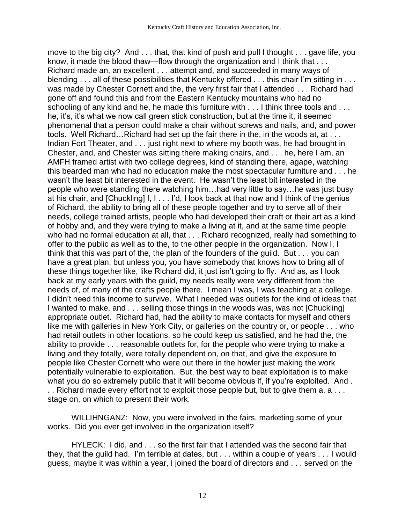move to the big city? And . . . that, that kind of push and pull I thought . . . gave life, you know, it made the blood thaw—flow through the organization and I think that . . . Richard made an, an excellent . . . attempt and, and succeeded in many ways of blending . . . all of these possibilities that Kentucky offered . . . this chair I'm sitting in . . . was made by Chester Cornett and the, the very first fair that I attended . . . Richard had gone off and found this and from the Eastern Kentucky mountains who had no schooling of any kind and he, he made this furniture with . . . I think three tools and . . . he, it's, it's what we now call green stick construction, but at the time it, it seemed phenomenal that a person could make a chair without screws and nails, and, and power tools. Well Richard…Richard had set up the fair there in the, in the woods at, at . . . Indian Fort Theater, and . . . just right next to where my booth was, he had brought in Chester, and, and Chester was sitting there making chairs, and . . . he, here I am, an AMFH framed artist with two college degrees, kind of standing there, agape, watching this bearded man who had no education make the most spectacular furniture and . . . he wasn't the least bit interested in the event. He wasn't the least bit interested in the people who were standing there watching him…had very little to say…he was just busy at his chair, and [Chuckling] I, I... I'd, I look back at that now and I think of the genius of Richard, the ability to bring all of these people together and try to serve all of their needs, college trained artists, people who had developed their craft or their art as a kind of hobby and, and they were trying to make a living at it, and at the same time people who had no formal education at all, that . . . Richard recognized, really had something to offer to the public as well as to the, to the other people in the organization. Now I, I think that this was part of the, the plan of the founders of the guild. But . . . you can have a great plan, but unless you, you have somebody that knows how to bring all of these things together like, like Richard did, it just isn't going to fly. And as, as I look back at my early years with the guild, my needs really were very different from the needs of, of many of the crafts people there. I mean I was, I was teaching at a college. I didn't need this income to survive. What I needed was outlets for the kind of ideas that I wanted to make, and . . . selling those things in the woods was, was not [Chuckling] appropriate outlet. Richard had, had the ability to make contacts for myself and others like me with galleries in New York City, or galleries on the country or, or people . . . who had retail outlets in other locations, so he could keep us satisfied, and he had the, the ability to provide . . . reasonable outlets for, for the people who were trying to make a living and they totally, were totally dependent on, on that, and give the exposure to people like Chester Cornett who were out there in the howler just making the work potentially vulnerable to exploitation. But, the best way to beat exploitation is to make what you do so extremely public that it will become obvious if, if you're exploited. And . . . Richard made every effort not to exploit those people but, but to give them a, a . . . stage on, on which to present their work.

WILLIHNGANZ: Now, you were involved in the fairs, marketing some of your works. Did you ever get involved in the organization itself?

HYLECK: I did, and . . . so the first fair that I attended was the second fair that they, that the guild had. I'm terrible at dates, but . . . within a couple of years . . . I would guess, maybe it was within a year, I joined the board of directors and . . . served on the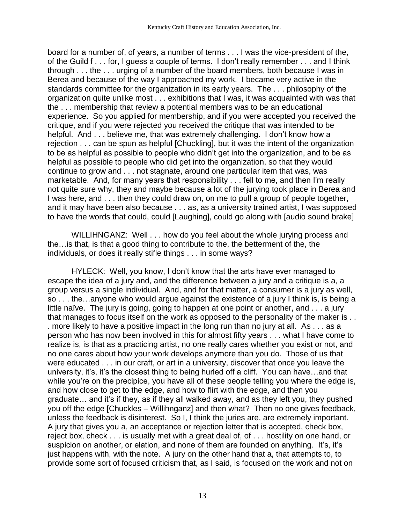board for a number of, of years, a number of terms . . . I was the vice-president of the, of the Guild f . . . for, I guess a couple of terms. I don't really remember . . . and I think through . . . the . . . urging of a number of the board members, both because I was in Berea and because of the way I approached my work. I became very active in the standards committee for the organization in its early years. The . . . philosophy of the organization quite unlike most . . . exhibitions that I was, it was acquainted with was that the . . . membership that review a potential members was to be an educational experience. So you applied for membership, and if you were accepted you received the critique, and if you were rejected you received the critique that was intended to be helpful. And . . . believe me, that was extremely challenging. I don't know how a rejection . . . can be spun as helpful [Chuckling], but it was the intent of the organization to be as helpful as possible to people who didn't get into the organization, and to be as helpful as possible to people who did get into the organization, so that they would continue to grow and . . . not stagnate, around one particular item that was, was marketable. And, for many years that responsibility . . . fell to me, and then I'm really not quite sure why, they and maybe because a lot of the jurying took place in Berea and I was here, and . . . then they could draw on, on me to pull a group of people together, and it may have been also because . . . as, as a university trained artist, I was supposed to have the words that could, could [Laughing], could go along with [audio sound brake]

WILLIHNGANZ: Well . . . how do you feel about the whole jurying process and the…is that, is that a good thing to contribute to the, the betterment of the, the individuals, or does it really stifle things . . . in some ways?

HYLECK: Well, you know, I don't know that the arts have ever managed to escape the idea of a jury and, and the difference between a jury and a critique is a, a group versus a single individual. And, and for that matter, a consumer is a jury as well, so . . . the…anyone who would argue against the existence of a jury I think is, is being a little naïve. The jury is going, going to happen at one point or another, and . . . a jury that manages to focus itself on the work as opposed to the personality of the maker is . . . more likely to have a positive impact in the long run than no jury at all. As . . . as a person who has now been involved in this for almost fifty years . . . what I have come to realize is, is that as a practicing artist, no one really cares whether you exist or not, and no one cares about how your work develops anymore than you do. Those of us that were educated . . . in our craft, or art in a university, discover that once you leave the university, it's, it's the closest thing to being hurled off a cliff. You can have…and that while you're on the precipice, you have all of these people telling you where the edge is, and how close to get to the edge, and how to flirt with the edge, and then you graduate… and it's if they, as if they all walked away, and as they left you, they pushed you off the edge [Chuckles – Willihnganz] and then what? Then no one gives feedback, unless the feedback is disinterest. So I, I think the juries are, are extremely important. A jury that gives you a, an acceptance or rejection letter that is accepted, check box, reject box, check . . . is usually met with a great deal of, of . . . hostility on one hand, or suspicion on another, or elation, and none of them are founded on anything. It's, it's just happens with, with the note. A jury on the other hand that a, that attempts to, to provide some sort of focused criticism that, as I said, is focused on the work and not on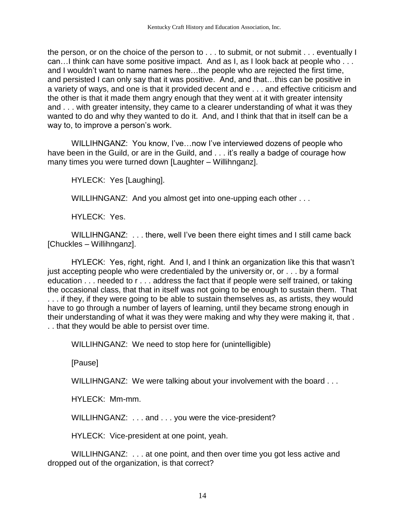the person, or on the choice of the person to . . . to submit, or not submit . . . eventually I can…I think can have some positive impact. And as I, as I look back at people who . . . and I wouldn't want to name names here…the people who are rejected the first time, and persisted I can only say that it was positive. And, and that…this can be positive in a variety of ways, and one is that it provided decent and e . . . and effective criticism and the other is that it made them angry enough that they went at it with greater intensity and . . . with greater intensity, they came to a clearer understanding of what it was they wanted to do and why they wanted to do it. And, and I think that that in itself can be a way to, to improve a person's work.

WILLIHNGANZ: You know, I've…now I've interviewed dozens of people who have been in the Guild, or are in the Guild, and . . . it's really a badge of courage how many times you were turned down [Laughter – Willihnganz].

HYLECK: Yes [Laughing].

WILLIHNGANZ: And you almost get into one-upping each other . . .

HYLECK: Yes.

WILLIHNGANZ: . . . there, well I've been there eight times and I still came back [Chuckles – Willihnganz].

HYLECK: Yes, right, right. And I, and I think an organization like this that wasn't just accepting people who were credentialed by the university or, or . . . by a formal education . . . needed to r . . . address the fact that if people were self trained, or taking the occasional class, that that in itself was not going to be enough to sustain them. That . . . if they, if they were going to be able to sustain themselves as, as artists, they would have to go through a number of layers of learning, until they became strong enough in their understanding of what it was they were making and why they were making it, that . . . that they would be able to persist over time.

WILLIHNGANZ: We need to stop here for (unintelligible)

[Pause]

WILLIHNGANZ: We were talking about your involvement with the board . . .

HYLECK: Mm-mm.

WILLIHNGANZ: . . . and . . . you were the vice-president?

HYLECK: Vice-president at one point, yeah.

WILLIHNGANZ: . . . at one point, and then over time you got less active and dropped out of the organization, is that correct?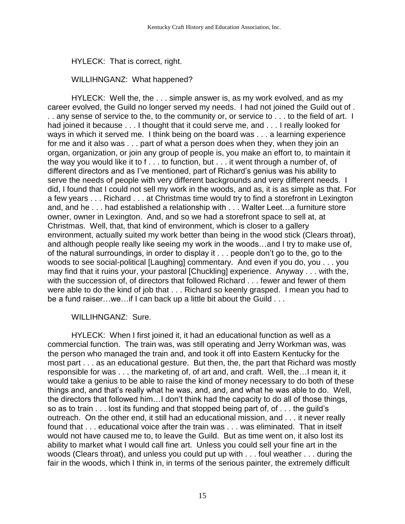## HYLECK: That is correct, right.

## WILLIHNGANZ: What happened?

HYLECK: Well the, the . . . simple answer is, as my work evolved, and as my career evolved, the Guild no longer served my needs. I had not joined the Guild out of . . . any sense of service to the, to the community or, or service to . . . to the field of art. I had joined it because . . . I thought that it could serve me, and . . . I really looked for ways in which it served me. I think being on the board was . . . a learning experience for me and it also was . . . part of what a person does when they, when they join an organ, organization, or join any group of people is, you make an effort to, to maintain it the way you would like it to f... to function, but  $\dots$  it went through a number of, of different directors and as I've mentioned, part of Richard's genius was his ability to serve the needs of people with very different backgrounds and very different needs. I did, I found that I could not sell my work in the woods, and as, it is as simple as that. For a few years . . . Richard . . . at Christmas time would try to find a storefront in Lexington and, and he . . . had established a relationship with . . . Walter Leet…a furniture store owner, owner in Lexington. And, and so we had a storefront space to sell at, at Christmas. Well, that, that kind of environment, which is closer to a gallery environment, actually suited my work better than being in the wood stick (Clears throat), and although people really like seeing my work in the woods…and I try to make use of, of the natural surroundings, in order to display it . . . people don't go to the, go to the woods to see social-political [Laughing] commentary. And even if you do, you . . . you may find that it ruins your, your pastoral [Chuckling] experience. Anyway . . . with the, with the succession of, of directors that followed Richard . . . fewer and fewer of them were able to do the kind of job that . . . Richard so keenly grasped. I mean you had to be a fund raiser...we...if I can back up a little bit about the Guild . . .

#### WILLIHNGANZ: Sure.

HYLECK: When I first joined it, it had an educational function as well as a commercial function. The train was, was still operating and Jerry Workman was, was the person who managed the train and, and took it off into Eastern Kentucky for the most part . . . as an educational gesture. But then, the, the part that Richard was mostly responsible for was . . . the marketing of, of art and, and craft. Well, the…I mean it, it would take a genius to be able to raise the kind of money necessary to do both of these things and, and that's really what he was, and, and, and what he was able to do. Well, the directors that followed him…I don't think had the capacity to do all of those things, so as to train . . . lost its funding and that stopped being part of, of . . . the guild's outreach. On the other end, it still had an educational mission, and . . . it never really found that . . . educational voice after the train was . . . was eliminated. That in itself would not have caused me to, to leave the Guild. But as time went on, it also lost its ability to market what I would call fine art. Unless you could sell your fine art in the woods (Clears throat), and unless you could put up with . . . foul weather . . . during the fair in the woods, which I think in, in terms of the serious painter, the extremely difficult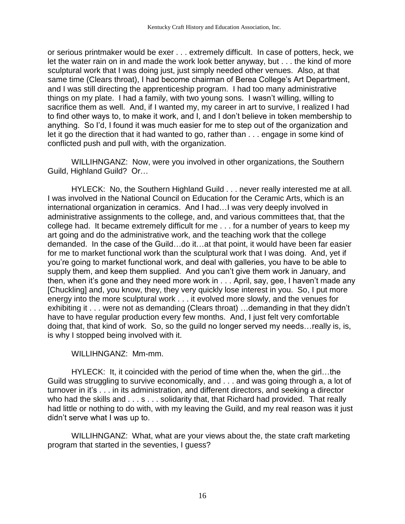or serious printmaker would be exer . . . extremely difficult. In case of potters, heck, we let the water rain on in and made the work look better anyway, but . . . the kind of more sculptural work that I was doing just, just simply needed other venues. Also, at that same time (Clears throat), I had become chairman of Berea College's Art Department, and I was still directing the apprenticeship program. I had too many administrative things on my plate. I had a family, with two young sons. I wasn't willing, willing to sacrifice them as well. And, if I wanted my, my career in art to survive, I realized I had to find other ways to, to make it work, and I, and I don't believe in token membership to anything. So I'd, I found it was much easier for me to step out of the organization and let it go the direction that it had wanted to go, rather than . . . engage in some kind of conflicted push and pull with, with the organization.

WILLIHNGANZ: Now, were you involved in other organizations, the Southern Guild, Highland Guild? Or…

HYLECK: No, the Southern Highland Guild . . . never really interested me at all. I was involved in the National Council on Education for the Ceramic Arts, which is an international organization in ceramics. And I had…I was very deeply involved in administrative assignments to the college, and, and various committees that, that the college had. It became extremely difficult for me . . . for a number of years to keep my art going and do the administrative work, and the teaching work that the college demanded. In the case of the Guild…do it…at that point, it would have been far easier for me to market functional work than the sculptural work that I was doing. And, yet if you're going to market functional work, and deal with galleries, you have to be able to supply them, and keep them supplied. And you can't give them work in January, and then, when it's gone and they need more work in . . . April, say, gee, I haven't made any [Chuckling] and, you know, they, they very quickly lose interest in you. So, I put more energy into the more sculptural work . . . it evolved more slowly, and the venues for exhibiting it . . . were not as demanding (Clears throat) …demanding in that they didn't have to have regular production every few months. And, I just felt very comfortable doing that, that kind of work. So, so the guild no longer served my needs…really is, is, is why I stopped being involved with it.

WILLIHNGANZ: Mm-mm.

HYLECK: It, it coincided with the period of time when the, when the girl…the Guild was struggling to survive economically, and . . . and was going through a, a lot of turnover in it's . . . in its administration, and different directors, and seeking a director who had the skills and . . . s . . . solidarity that, that Richard had provided. That really had little or nothing to do with, with my leaving the Guild, and my real reason was it just didn't serve what I was up to.

WILLIHNGANZ: What, what are your views about the, the state craft marketing program that started in the seventies, I guess?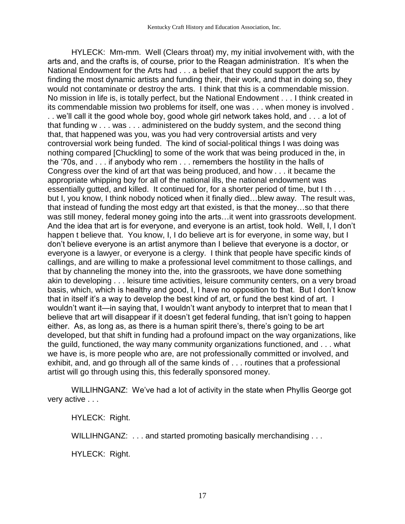HYLECK: Mm-mm. Well (Clears throat) my, my initial involvement with, with the arts and, and the crafts is, of course, prior to the Reagan administration. It's when the National Endowment for the Arts had . . . a belief that they could support the arts by finding the most dynamic artists and funding their, their work, and that in doing so, they would not contaminate or destroy the arts. I think that this is a commendable mission. No mission in life is, is totally perfect, but the National Endowment . . . I think created in its commendable mission two problems for itself, one was . . . when money is involved . . . we'll call it the good whole boy, good whole girl network takes hold, and . . . a lot of that funding w . . . was . . . administered on the buddy system, and the second thing that, that happened was you, was you had very controversial artists and very controversial work being funded. The kind of social-political things I was doing was nothing compared [Chuckling] to some of the work that was being produced in the, in the '70s, and . . . if anybody who rem . . . remembers the hostility in the halls of Congress over the kind of art that was being produced, and how . . . it became the appropriate whipping boy for all of the national ills, the national endowment was essentially gutted, and killed. It continued for, for a shorter period of time, but I th . . . but I, you know, I think nobody noticed when it finally died…blew away. The result was, that instead of funding the most edgy art that existed, is that the money…so that there was still money, federal money going into the arts…it went into grassroots development. And the idea that art is for everyone, and everyone is an artist, took hold. Well, I, I don't happen t believe that. You know, I, I do believe art is for everyone, in some way, but I don't believe everyone is an artist anymore than I believe that everyone is a doctor, or everyone is a lawyer, or everyone is a clergy. I think that people have specific kinds of callings, and are willing to make a professional level commitment to those callings, and that by channeling the money into the, into the grassroots, we have done something akin to developing . . . leisure time activities, leisure community centers, on a very broad basis, which, which is healthy and good, I, I have no opposition to that. But I don't know that in itself it's a way to develop the best kind of art, or fund the best kind of art. I wouldn't want it—in saying that, I wouldn't want anybody to interpret that to mean that I believe that art will disappear if it doesn't get federal funding, that isn't going to happen either. As, as long as, as there is a human spirit there's, there's going to be art developed, but that shift in funding had a profound impact on the way organizations, like the guild, functioned, the way many community organizations functioned, and . . . what we have is, is more people who are, are not professionally committed or involved, and exhibit, and, and go through all of the same kinds of . . . routines that a professional artist will go through using this, this federally sponsored money.

WILLIHNGANZ: We've had a lot of activity in the state when Phyllis George got very active . . .

HYLECK: Right.

WILLIHNGANZ: . . . and started promoting basically merchandising . . .

HYLECK: Right.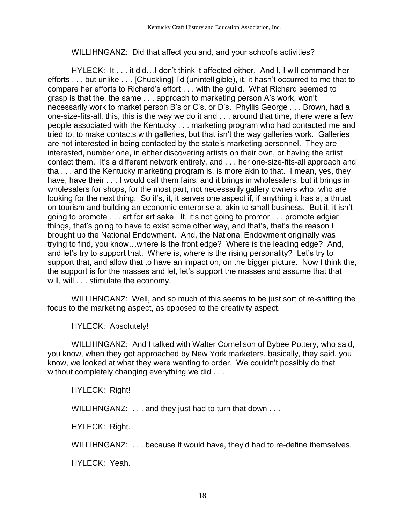## WILLIHNGANZ: Did that affect you and, and your school's activities?

HYLECK: It . . . it did…I don't think it affected either. And I, I will command her efforts . . . but unlike . . . [Chuckling] I'd (unintelligible), it, it hasn't occurred to me that to compare her efforts to Richard's effort . . . with the guild. What Richard seemed to grasp is that the, the same . . . approach to marketing person A's work, won't necessarily work to market person B's or C's, or D's. Phyllis George . . . Brown, had a one-size-fits-all, this, this is the way we do it and . . . around that time, there were a few people associated with the Kentucky . . . marketing program who had contacted me and tried to, to make contacts with galleries, but that isn't the way galleries work. Galleries are not interested in being contacted by the state's marketing personnel. They are interested, number one, in either discovering artists on their own, or having the artist contact them. It's a different network entirely, and . . . her one-size-fits-all approach and tha . . . and the Kentucky marketing program is, is more akin to that. I mean, yes, they have, have their . . . I would call them fairs, and it brings in wholesalers, but it brings in wholesalers for shops, for the most part, not necessarily gallery owners who, who are looking for the next thing. So it's, it, it serves one aspect if, if anything it has a, a thrust on tourism and building an economic enterprise a, akin to small business. But it, it isn't going to promote . . . art for art sake. It, it's not going to promor . . . promote edgier things, that's going to have to exist some other way, and that's, that's the reason I brought up the National Endowment. And, the National Endowment originally was trying to find, you know…where is the front edge? Where is the leading edge? And, and let's try to support that. Where is, where is the rising personality? Let's try to support that, and allow that to have an impact on, on the bigger picture. Now I think the, the support is for the masses and let, let's support the masses and assume that that will, will . . . stimulate the economy.

WILLIHNGANZ: Well, and so much of this seems to be just sort of re-shifting the focus to the marketing aspect, as opposed to the creativity aspect.

HYLECK: Absolutely!

WILLIHNGANZ: And I talked with Walter Cornelison of Bybee Pottery, who said, you know, when they got approached by New York marketers, basically, they said, you know, we looked at what they were wanting to order. We couldn't possibly do that without completely changing everything we did . . .

HYLECK: Right!

WILLIHNGANZ: . . . and they just had to turn that down . . .

HYLECK: Right.

WILLIHNGANZ: . . . because it would have, they'd had to re-define themselves.

HYLECK: Yeah.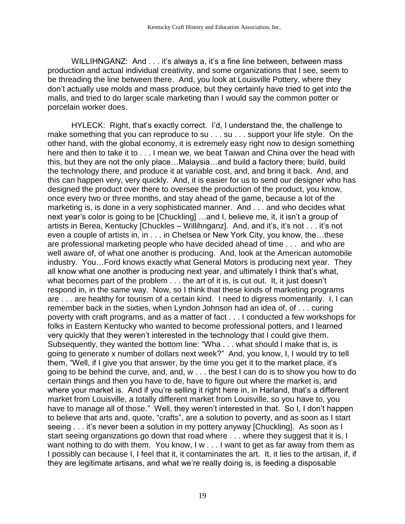WILLIHNGANZ: And . . . it's always a, it's a fine line between, between mass production and actual individual creativity, and some organizations that I see, seem to be threading the line between there. And, you look at Louisville Pottery, where they don't actually use molds and mass produce, but they certainly have tried to get into the malls, and tried to do larger scale marketing than I would say the common potter or porcelain worker does.

HYLECK: Right, that's exactly correct. I'd, I understand the, the challenge to make something that you can reproduce to su . . . su . . . support your life style. On the other hand, with the global economy, it is extremely easy right now to design something here and then to take it to . . . I mean we, we beat Taiwan and China over the head with this, but they are not the only place…Malaysia…and build a factory there; build, build the technology there, and produce it at variable cost, and, and bring it back. And, and this can happen very, very quickly. And, it is easier for us to send our designer who has designed the product over there to oversee the production of the product, you know, once every two or three months, and stay ahead of the game, because a lot of the marketing is, is done in a very sophisticated manner. And . . . and who decides what next year's color is going to be [Chuckling] …and I, believe me, it, it isn't a group of artists in Berea, Kentucky [Chuckles – Willihnganz]. And, and it's, it's not . . . it's not even a couple of artists in, in . . . in Chelsea or New York City, you know, the…these are professional marketing people who have decided ahead of time . . . and who are well aware of, of what one another is producing. And, look at the American automobile industry. You…Ford knows exactly what General Motors is producing next year. They all know what one another is producing next year, and ultimately I think that's what, what becomes part of the problem . . . the art of it is, is cut out. It, it just doesn't respond in, in the same way. Now, so I think that these kinds of marketing programs are . . . are healthy for tourism of a certain kind. I need to digress momentarily. I, I can remember back in the sixties, when Lyndon Johnson had an idea of, of . . . curing poverty with craft programs, and as a matter of fact . . . I conducted a few workshops for folks in Eastern Kentucky who wanted to become professional potters, and I learned very quickly that they weren't interested in the technology that I could give them. Subsequently, they wanted the bottom line: "Wha . . . what should I make that is, is going to generate x number of dollars next week?" And, you know, I, I would try to tell them, "Well, if I give you that answer, by the time you get it to the market place, it's going to be behind the curve, and, and, w . . . the best I can do is to show you how to do certain things and then you have to de, have to figure out where the market is, and where your market is. And if you're selling it right here in, in Harland, that's a different market from Louisville, a totally different market from Louisville, so you have to, you have to manage all of those." Well, they weren't interested in that. So I, I don't happen to believe that arts and, quote, "crafts", are a solution to poverty, and as soon as I start seeing . . . it's never been a solution in my pottery anyway [Chuckling]. As soon as I start seeing organizations go down that road where . . . where they suggest that it is, I want nothing to do with them. You know, I w . . . I want to get as far away from them as I possibly can because I, I feel that it, it contaminates the art. It, it lies to the artisan, if, if they are legitimate artisans, and what we're really doing is, is feeding a disposable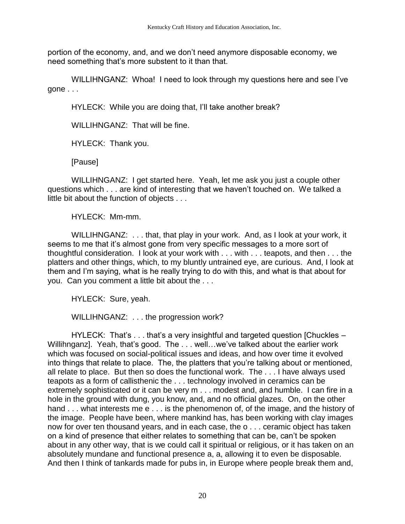portion of the economy, and, and we don't need anymore disposable economy, we need something that's more substent to it than that.

WILLIHNGANZ: Whoa! I need to look through my questions here and see I've gone . . .

HYLECK: While you are doing that, I'll take another break?

WILLIHNGANZ: That will be fine.

HYLECK: Thank you.

[Pause]

WILLIHNGANZ: I get started here. Yeah, let me ask you just a couple other questions which . . . are kind of interesting that we haven't touched on. We talked a little bit about the function of objects . . .

HYLECK: Mm-mm.

WILLIHNGANZ: . . . that, that play in your work. And, as I look at your work, it seems to me that it's almost gone from very specific messages to a more sort of thoughtful consideration. I look at your work with . . . with . . . teapots, and then . . . the platters and other things, which, to my bluntly untrained eye, are curious. And, I look at them and I'm saying, what is he really trying to do with this, and what is that about for you. Can you comment a little bit about the . . .

HYLECK: Sure, yeah.

WILLIHNGANZ: . . . the progression work?

HYLECK: That's . . . that's a very insightful and targeted question [Chuckles – Willihnganz]. Yeah, that's good. The . . . well...we've talked about the earlier work which was focused on social-political issues and ideas, and how over time it evolved into things that relate to place. The, the platters that you're talking about or mentioned, all relate to place. But then so does the functional work. The . . . I have always used teapots as a form of callisthenic the . . . technology involved in ceramics can be extremely sophisticated or it can be very m . . . modest and, and humble. I can fire in a hole in the ground with dung, you know, and, and no official glazes. On, on the other hand . . . what interests me e . . . is the phenomenon of, of the image, and the history of the image. People have been, where mankind has, has been working with clay images now for over ten thousand years, and in each case, the o . . . ceramic object has taken on a kind of presence that either relates to something that can be, can't be spoken about in any other way, that is we could call it spiritual or religious, or it has taken on an absolutely mundane and functional presence a, a, allowing it to even be disposable. And then I think of tankards made for pubs in, in Europe where people break them and,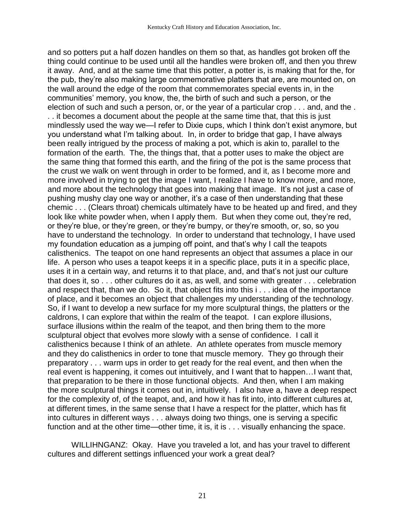and so potters put a half dozen handles on them so that, as handles got broken off the thing could continue to be used until all the handles were broken off, and then you threw it away. And, and at the same time that this potter, a potter is, is making that for the, for the pub, they're also making large commemorative platters that are, are mounted on, on the wall around the edge of the room that commemorates special events in, in the communities' memory, you know, the, the birth of such and such a person, or the election of such and such a person, or, or the year of a particular crop . . . and, and the . . . it becomes a document about the people at the same time that, that this is just mindlessly used the way we—I refer to Dixie cups, which I think don't exist anymore, but you understand what I'm talking about. In, in order to bridge that gap, I have always been really intrigued by the process of making a pot, which is akin to, parallel to the formation of the earth. The, the things that, that a potter uses to make the object are the same thing that formed this earth, and the firing of the pot is the same process that the crust we walk on went through in order to be formed, and it, as I become more and more involved in trying to get the image I want, I realize I have to know more, and more, and more about the technology that goes into making that image. It's not just a case of pushing mushy clay one way or another, it's a case of then understanding that these chemic . . . (Clears throat) chemicals ultimately have to be heated up and fired, and they look like white powder when, when I apply them. But when they come out, they're red, or they're blue, or they're green, or they're bumpy, or they're smooth, or, so, so you have to understand the technology. In order to understand that technology, I have used my foundation education as a jumping off point, and that's why I call the teapots calisthenics. The teapot on one hand represents an object that assumes a place in our life. A person who uses a teapot keeps it in a specific place, puts it in a specific place, uses it in a certain way, and returns it to that place, and, and that's not just our culture that does it, so . . . other cultures do it as, as well, and some with greater . . . celebration and respect that, than we do. So it, that object fits into this i . . . idea of the importance of place, and it becomes an object that challenges my understanding of the technology. So, if I want to develop a new surface for my more sculptural things, the platters or the caldrons, I can explore that within the realm of the teapot. I can explore illusions, surface illusions within the realm of the teapot, and then bring them to the more sculptural object that evolves more slowly with a sense of confidence. I call it calisthenics because I think of an athlete. An athlete operates from muscle memory and they do calisthenics in order to tone that muscle memory. They go through their preparatory . . . warm ups in order to get ready for the real event, and then when the real event is happening, it comes out intuitively, and I want that to happen…I want that, that preparation to be there in those functional objects. And then, when I am making the more sculptural things it comes out in, intuitively. I also have a, have a deep respect for the complexity of, of the teapot, and, and how it has fit into, into different cultures at, at different times, in the same sense that I have a respect for the platter, which has fit into cultures in different ways . . . always doing two things, one is serving a specific function and at the other time—other time, it is, it is . . . visually enhancing the space.

WILLIHNGANZ: Okay. Have you traveled a lot, and has your travel to different cultures and different settings influenced your work a great deal?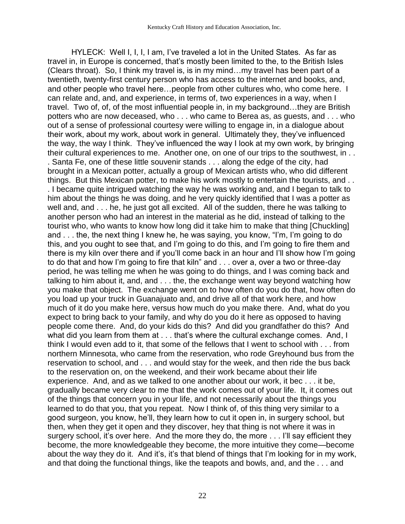HYLECK: Well I, I, I, I am, I've traveled a lot in the United States. As far as travel in, in Europe is concerned, that's mostly been limited to the, to the British Isles (Clears throat). So, I think my travel is, is in my mind…my travel has been part of a twentieth, twenty-first century person who has access to the internet and books, and, and other people who travel here…people from other cultures who, who come here. I can relate and, and, and experience, in terms of, two experiences in a way, when I travel. Two of, of, of the most influential people in, in my background…they are British potters who are now deceased, who . . . who came to Berea as, as guests, and . . . who out of a sense of professional courtesy were willing to engage in, in a dialogue about their work, about my work, about work in general. Ultimately they, they've influenced the way, the way I think. They've influenced the way I look at my own work, by bringing their cultural experiences to me. Another one, on one of our trips to the southwest, in . . . Santa Fe, one of these little souvenir stands . . . along the edge of the city, had brought in a Mexican potter, actually a group of Mexican artists who, who did different things. But this Mexican potter, to make his work mostly to entertain the tourists, and . . . I became quite intrigued watching the way he was working and, and I began to talk to him about the things he was doing, and he very quickly identified that I was a potter as well and, and . . . he, he just got all excited. All of the sudden, there he was talking to another person who had an interest in the material as he did, instead of talking to the tourist who, who wants to know how long did it take him to make that thing [Chuckling] and . . . the, the next thing I knew he, he was saying, you know, "I'm, I'm going to do this, and you ought to see that, and I'm going to do this, and I'm going to fire them and there is my kiln over there and if you'll come back in an hour and I'll show how I'm going to do that and how I'm going to fire that kiln" and . . . over a, over a two or three-day period, he was telling me when he was going to do things, and I was coming back and talking to him about it, and, and . . . the, the exchange went way beyond watching how you make that object. The exchange went on to how often do you do that, how often do you load up your truck in Guanajuato and, and drive all of that work here, and how much of it do you make here, versus how much do you make there. And, what do you expect to bring back to your family, and why do you do it here as opposed to having people come there. And, do your kids do this? And did you grandfather do this? And what did you learn from them at . . . that's where the cultural exchange comes. And, I think I would even add to it, that some of the fellows that I went to school with . . . from northern Minnesota, who came from the reservation, who rode Greyhound bus from the reservation to school, and . . . and would stay for the week, and then ride the bus back to the reservation on, on the weekend, and their work became about their life experience. And, and as we talked to one another about our work, it bec . . . it be, gradually became very clear to me that the work comes out of your life. It, it comes out of the things that concern you in your life, and not necessarily about the things you learned to do that you, that you repeat. Now I think of, of this thing very similar to a good surgeon, you know, he'll, they learn how to cut it open in, in surgery school, but then, when they get it open and they discover, hey that thing is not where it was in surgery school, it's over here. And the more they do, the more . . . I'll say efficient they become, the more knowledgeable they become, the more intuitive they come—become about the way they do it. And it's, it's that blend of things that I'm looking for in my work, and that doing the functional things, like the teapots and bowls, and, and the . . . and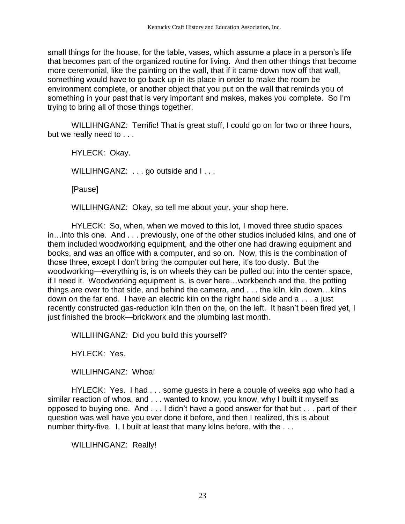small things for the house, for the table, vases, which assume a place in a person's life that becomes part of the organized routine for living. And then other things that become more ceremonial, like the painting on the wall, that if it came down now off that wall, something would have to go back up in its place in order to make the room be environment complete, or another object that you put on the wall that reminds you of something in your past that is very important and makes, makes you complete. So I'm trying to bring all of those things together.

WILLIHNGANZ: Terrific! That is great stuff, I could go on for two or three hours, but we really need to . . .

HYLECK: Okay.

WILLIHNGANZ: . . . go outside and I . . .

[Pause]

WILLIHNGANZ: Okay, so tell me about your, your shop here.

HYLECK: So, when, when we moved to this lot, I moved three studio spaces in…into this one. And . . . previously, one of the other studios included kilns, and one of them included woodworking equipment, and the other one had drawing equipment and books, and was an office with a computer, and so on. Now, this is the combination of those three, except I don't bring the computer out here, it's too dusty. But the woodworking—everything is, is on wheels they can be pulled out into the center space, if I need it. Woodworking equipment is, is over here…workbench and the, the potting things are over to that side, and behind the camera, and . . . the kiln, kiln down…kilns down on the far end. I have an electric kiln on the right hand side and a . . . a just recently constructed gas-reduction kiln then on the, on the left. It hasn't been fired yet, I just finished the brook—brickwork and the plumbing last month.

WILLIHNGANZ: Did you build this yourself?

HYLECK: Yes.

WILLIHNGANZ: Whoa!

HYLECK: Yes. I had . . . some guests in here a couple of weeks ago who had a similar reaction of whoa, and . . . wanted to know, you know, why I built it myself as opposed to buying one. And . . . I didn't have a good answer for that but . . . part of their question was well have you ever done it before, and then I realized, this is about number thirty-five. I, I built at least that many kilns before, with the . . .

WILLIHNGANZ: Really!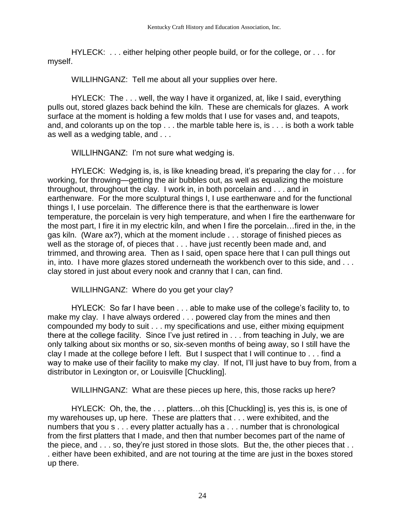HYLECK: . . . either helping other people build, or for the college, or . . . for myself.

WILLIHNGANZ: Tell me about all your supplies over here.

HYLECK: The . . . well, the way I have it organized, at, like I said, everything pulls out, stored glazes back behind the kiln. These are chemicals for glazes. A work surface at the moment is holding a few molds that I use for vases and, and teapots, and, and colorants up on the top . . . the marble table here is, is . . . is both a work table as well as a wedging table, and . . .

WILLIHNGANZ: I'm not sure what wedging is.

HYLECK: Wedging is, is, is like kneading bread, it's preparing the clay for . . . for working, for throwing—getting the air bubbles out, as well as equalizing the moisture throughout, throughout the clay. I work in, in both porcelain and . . . and in earthenware. For the more sculptural things I, I use earthenware and for the functional things I, I use porcelain. The difference there is that the earthenware is lower temperature, the porcelain is very high temperature, and when I fire the earthenware for the most part, I fire it in my electric kiln, and when I fire the porcelain…fired in the, in the gas kiln. (Ware ax?), which at the moment include . . . storage of finished pieces as well as the storage of, of pieces that . . . have just recently been made and, and trimmed, and throwing area. Then as I said, open space here that I can pull things out in, into. I have more glazes stored underneath the workbench over to this side, and . . . clay stored in just about every nook and cranny that I can, can find.

WILLIHNGANZ: Where do you get your clay?

HYLECK: So far I have been . . . able to make use of the college's facility to, to make my clay. I have always ordered . . . powered clay from the mines and then compounded my body to suit . . . my specifications and use, either mixing equipment there at the college facility. Since I've just retired in . . . from teaching in July, we are only talking about six months or so, six-seven months of being away, so I still have the clay I made at the college before I left. But I suspect that I will continue to . . . find a way to make use of their facility to make my clay. If not, I'll just have to buy from, from a distributor in Lexington or, or Louisville [Chuckling].

WILLIHNGANZ: What are these pieces up here, this, those racks up here?

HYLECK: Oh, the, the . . . platters…oh this [Chuckling] is, yes this is, is one of my warehouses up, up here. These are platters that . . . were exhibited, and the numbers that you s . . . every platter actually has a . . . number that is chronological from the first platters that I made, and then that number becomes part of the name of the piece, and . . . so, they're just stored in those slots. But the, the other pieces that . . . either have been exhibited, and are not touring at the time are just in the boxes stored up there.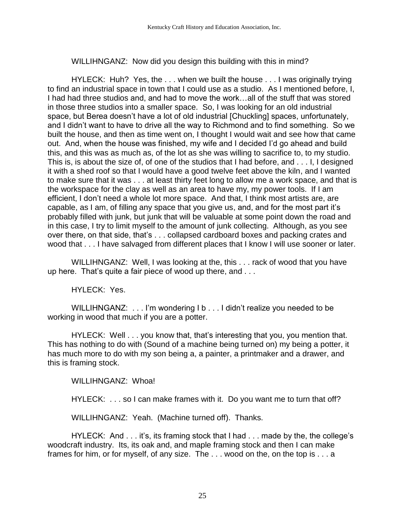WILLIHNGANZ: Now did you design this building with this in mind?

HYLECK: Huh? Yes, the . . . when we built the house . . . I was originally trying to find an industrial space in town that I could use as a studio. As I mentioned before, I, I had had three studios and, and had to move the work…all of the stuff that was stored in those three studios into a smaller space. So, I was looking for an old industrial space, but Berea doesn't have a lot of old industrial [Chuckling] spaces, unfortunately, and I didn't want to have to drive all the way to Richmond and to find something. So we built the house, and then as time went on, I thought I would wait and see how that came out. And, when the house was finished, my wife and I decided I'd go ahead and build this, and this was as much as, of the lot as she was willing to sacrifice to, to my studio. This is, is about the size of, of one of the studios that I had before, and . . . I, I designed it with a shed roof so that I would have a good twelve feet above the kiln, and I wanted to make sure that it was . . . at least thirty feet long to allow me a work space, and that is the workspace for the clay as well as an area to have my, my power tools. If I am efficient, I don't need a whole lot more space. And that, I think most artists are, are capable, as I am, of filling any space that you give us, and, and for the most part it's probably filled with junk, but junk that will be valuable at some point down the road and in this case, I try to limit myself to the amount of junk collecting. Although, as you see over there, on that side, that's . . . collapsed cardboard boxes and packing crates and wood that . . . I have salvaged from different places that I know I will use sooner or later.

WILLIHNGANZ: Well, I was looking at the, this . . . rack of wood that you have up here. That's quite a fair piece of wood up there, and . . .

HYLECK: Yes.

WILLIHNGANZ: . . . I'm wondering I b . . . I didn't realize you needed to be working in wood that much if you are a potter.

HYLECK: Well . . . you know that, that's interesting that you, you mention that. This has nothing to do with (Sound of a machine being turned on) my being a potter, it has much more to do with my son being a, a painter, a printmaker and a drawer, and this is framing stock.

WILLIHNGANZ: Whoa!

HYLECK: . . . so I can make frames with it. Do you want me to turn that off?

WILLIHNGANZ: Yeah. (Machine turned off). Thanks.

HYLECK: And . . . it's, its framing stock that I had . . . made by the, the college's woodcraft industry. Its, its oak and, and maple framing stock and then I can make frames for him, or for myself, of any size. The . . . wood on the, on the top is . . . a